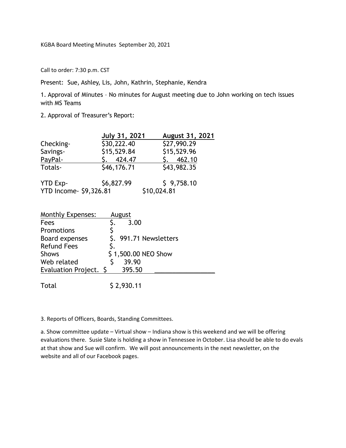KGBA Board Meeting Minutes September 20, 2021

Call to order: 7:30 p.m. CST

Present: Sue, Ashley, Lis, John, Kathrin, Stephanie, Kendra

1. Approval of Minutes – No minutes for August meeting due to John working on tech issues with MS Teams

2. Approval of Treasurer's Report:

|                               | <b>July 31, 2021</b> | August 31, 2021 |  |
|-------------------------------|----------------------|-----------------|--|
| Checking-                     | \$30,222.40          | \$27,990.29     |  |
| Savings-                      | \$15,529.84          | \$15,529.96     |  |
| PayPal-                       | 424.47               | 5.462.10        |  |
| Totals-                       | \$46,176.71          | \$43,982.35     |  |
| YTD Exp-                      | \$6,827.99           | \$9,758.10      |  |
| <b>YTD Income- \$9,326.81</b> |                      | \$10,024.81     |  |

| <b>Monthly Expenses:</b> |    | August                 |
|--------------------------|----|------------------------|
| Fees                     |    | 3.00                   |
| Promotions               |    |                        |
| Board expenses           |    | \$. 991.71 Newsletters |
| <b>Refund Fees</b>       | S. |                        |
| <b>Shows</b>             |    | \$1,500.00 NEO Show    |
| Web related              |    | 39.90                  |
| Evaluation Project. \$   |    | 395.50                 |
|                          |    |                        |

Total \$ 2,930.11

3. Reports of Officers, Boards, Standing Committees.

a. Show committee update – Virtual show – Indiana show is this weekend and we will be offering evaluations there. Susie Slate is holding a show in Tennessee in October. Lisa should be able to do evals at that show and Sue will confirm. We will post announcements in the next newsletter, on the website and all of our Facebook pages.